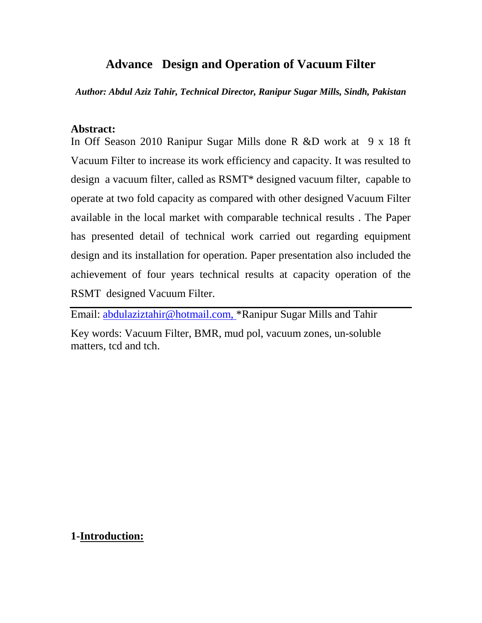### **Advance Design and Operation of Vacuum Filter**

*Author: Abdul Aziz Tahir, Technical Director, Ranipur Sugar Mills, Sindh, Pakistan*

### **Abstract:**

In Off Season 2010 Ranipur Sugar Mills done R &D work at 9 x 18 ft Vacuum Filter to increase its work efficiency and capacity. It was resulted to design a vacuum filter, called as RSMT\* designed vacuum filter, capable to operate at two fold capacity as compared with other designed Vacuum Filter available in the local market with comparable technical results . The Paper has presented detail of technical work carried out regarding equipment design and its installation for operation. Paper presentation also included the achievement of four years technical results at capacity operation of the RSMT designed Vacuum Filter.

Email: <u>abdulaziztahir@hotmail.com,</u> \*Ranipur Sugar Mills and Tahir Key words: Vacuum Filter, BMR, mud pol, vacuum zones, un-soluble matters, tcd and tch.

### **1-Introduction:**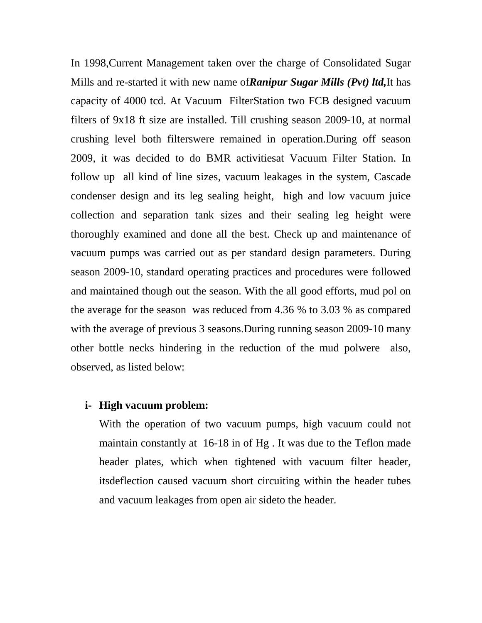In 1998,Current Management taken over the charge of Consolidated Sugar Mills and re-started it with new name of*Ranipur Sugar Mills (Pvt) ltd,*It has capacity of 4000 tcd. At Vacuum FilterStation two FCB designed vacuum filters of 9x18 ft size are installed. Till crushing season 2009-10, at normal crushing level both filterswere remained in operation.During off season 2009, it was decided to do BMR activitiesat Vacuum Filter Station. In follow up all kind of line sizes, vacuum leakages in the system, Cascade condenser design and its leg sealing height, high and low vacuum juice collection and separation tank sizes and their sealing leg height were thoroughly examined and done all the best. Check up and maintenance of vacuum pumps was carried out as per standard design parameters. During season 2009-10, standard operating practices and procedures were followed and maintained though out the season. With the all good efforts, mud pol on the average for the season was reduced from 4.36 % to 3.03 % as compared with the average of previous 3 seasons. During running season 2009-10 many other bottle necks hindering in the reduction of the mud polwere also, observed, as listed below:

#### **i- High vacuum problem:**

With the operation of two vacuum pumps, high vacuum could not maintain constantly at 16-18 in of Hg . It was due to the Teflon made header plates, which when tightened with vacuum filter header, itsdeflection caused vacuum short circuiting within the header tubes and vacuum leakages from open air sideto the header.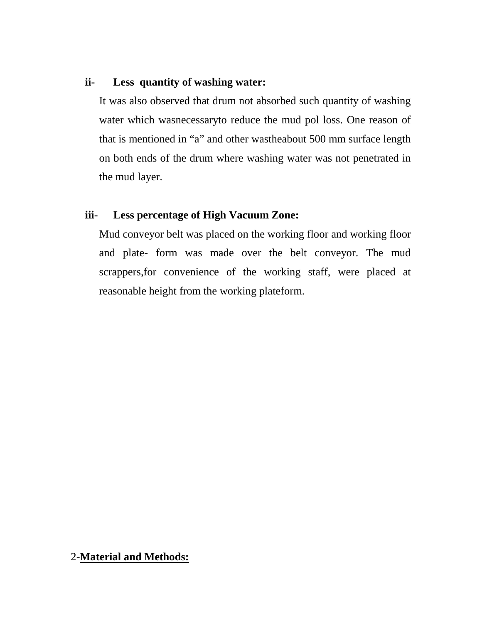### **ii- Less quantity of washing water:**

It was also observed that drum not absorbed such quantity of washing water which wasnecessaryto reduce the mud pol loss. One reason of that is mentioned in "a" and other wastheabout 500 mm surface length on both ends of the drum where washing water was not penetrated in the mud layer.

### **iii- Less percentage of High Vacuum Zone:**

Mud conveyor belt was placed on the working floor and working floor and plate- form was made over the belt conveyor. The mud scrappers,for convenience of the working staff, were placed at reasonable height from the working plateform.

### 2-**Material and Methods:**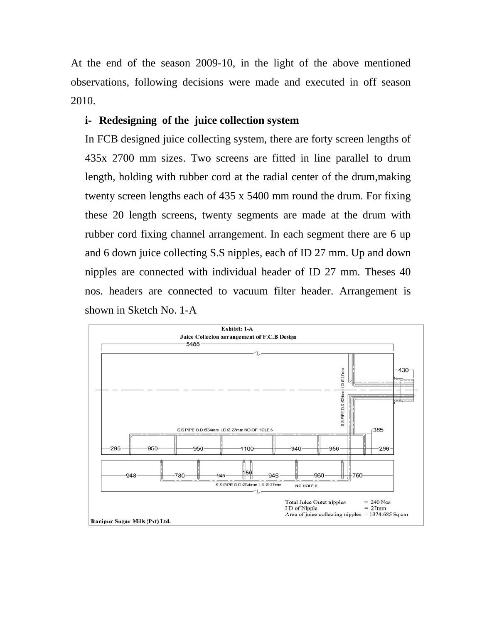At the end of the season 2009-10, in the light of the above mentioned observations, following decisions were made and executed in off season 2010.

### **i- Redesigning of the juice collection system**

In FCB designed juice collecting system, there are forty screen lengths of 435x 2700 mm sizes. Two screens are fitted in line parallel to drum length, holding with rubber cord at the radial center of the drum,making twenty screen lengths each of 435 x 5400 mm round the drum. For fixing these 20 length screens, twenty segments are made at the drum with rubber cord fixing channel arrangement. In each segment there are 6 up and 6 down juice collecting S.S nipples, each of ID 27 mm. Up and down nipples are connected with individual header of ID 27 mm. Theses 40 nos. headers are connected to vacuum filter header. Arrangement is shown in Sketch No. 1-A

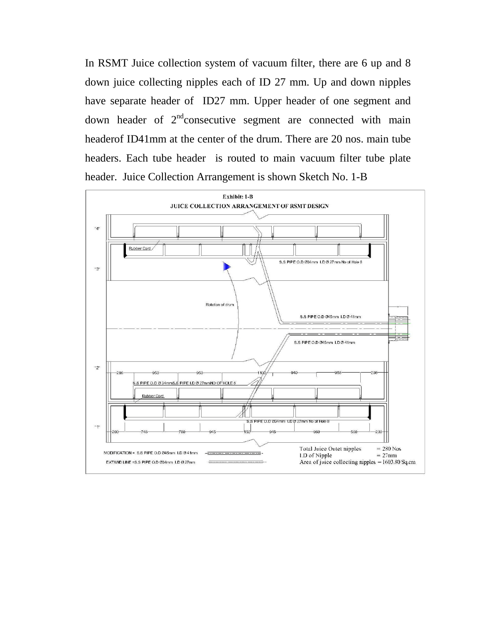In RSMT Juice collection system of vacuum filter, there are 6 up and 8 down juice collecting nipples each of ID 27 mm. Up and down nipples have separate header of ID27 mm. Upper header of one segment and down header of  $2<sup>nd</sup>$  consecutive segment are connected with main headerof ID41mm at the center of the drum. There are 20 nos. main tube headers. Each tube header is routed to main vacuum filter tube plate header. Juice Collection Arrangement is shown Sketch No. 1-B

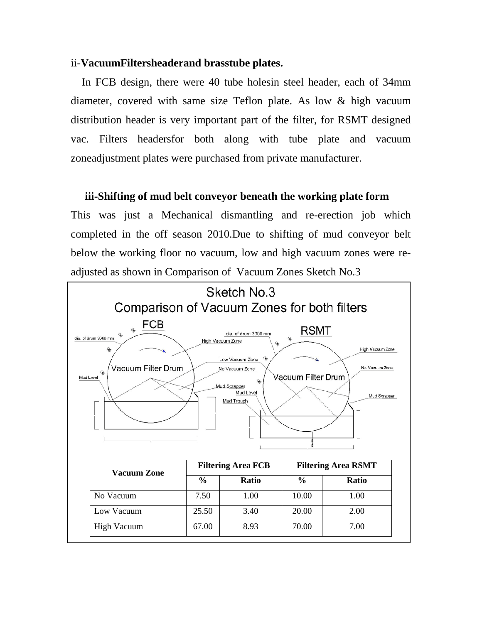#### ii-**VacuumFiltersheaderand brasstube plates.**

 In FCB design, there were 40 tube holesin steel header, each of 34mm diameter, covered with same size Teflon plate. As low & high vacuum distribution header is very important part of the filter, for RSMT designed vac. Filters headersfor both along with tube plate and vacuum zoneadjustment plates were purchased from private manufacturer.

#### **iii-Shifting of mud belt conveyor beneath the working plate form**

This was just a Mechanical dismantling and re-erection job which completed in the off season 2010.Due to shifting of mud conveyor belt below the working floor no vacuum, low and high vacuum zones were readjusted as shown in Comparison of Vacuum Zones Sketch No.3

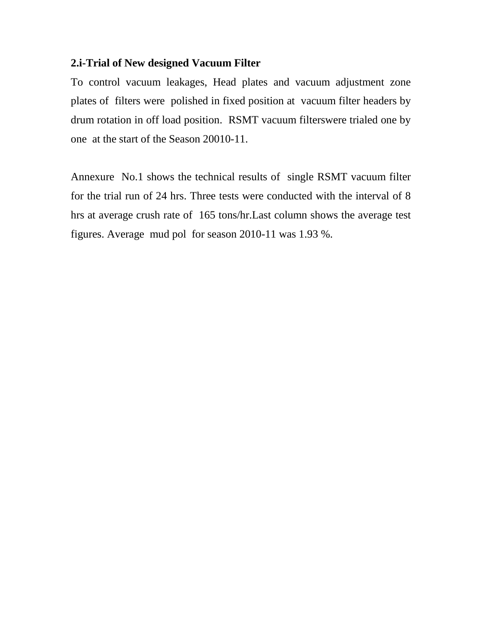### **2.i-Trial of New designed Vacuum Filter**

To control vacuum leakages, Head plates and vacuum adjustment zone plates of filters were polished in fixed position at vacuum filter headers by drum rotation in off load position. RSMT vacuum filterswere trialed one by one at the start of the Season 20010-11.

Annexure No.1 shows the technical results of single RSMT vacuum filter for the trial run of 24 hrs. Three tests were conducted with the interval of 8 hrs at average crush rate of 165 tons/hr.Last column shows the average test figures. Average mud pol for season 2010-11 was 1.93 %.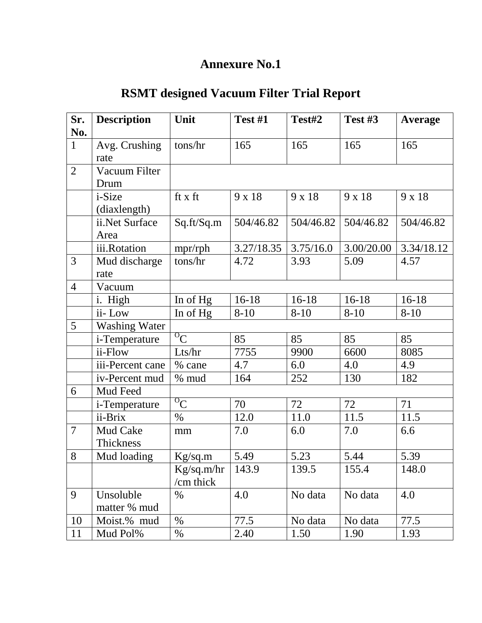# **RSMT designed Vacuum Filter Trial Report**

| Sr.            | <b>Description</b>    | Unit       | Test #1    | Test#2    | Test #3    | <b>Average</b> |
|----------------|-----------------------|------------|------------|-----------|------------|----------------|
| No.            |                       |            |            |           |            |                |
| $\mathbf{1}$   | Avg. Crushing         | tons/hr    | 165        | 165       | 165        | 165            |
|                | rate                  |            |            |           |            |                |
| $\overline{2}$ | Vacuum Filter         |            |            |           |            |                |
|                | Drum                  |            |            |           |            |                |
|                | i-Size                | ft x ft    | 9 x 18     | 9 x 18    | 9 x 18     | 9 x 18         |
|                | (diaxlength)          |            |            |           |            |                |
|                | ii.Net Surface        | Sq.ft/Sq.m | 504/46.82  | 504/46.82 | 504/46.82  | 504/46.82      |
|                | Area                  |            |            |           |            |                |
|                | iii.Rotation          | mpr/rph    | 3.27/18.35 | 3.75/16.0 | 3.00/20.00 | 3.34/18.12     |
| 3              | Mud discharge         | tons/hr    | 4.72       | 3.93      | 5.09       | 4.57           |
|                | rate                  |            |            |           |            |                |
| $\overline{4}$ | Vacuum                |            |            |           |            |                |
|                | i. High               | In of Hg   | $16-18$    | $16-18$   | $16-18$    | $16-18$        |
|                | ii-Low                | In of Hg   | $8 - 10$   | $8 - 10$  | $8 - 10$   | $8 - 10$       |
| 5              | <b>Washing Water</b>  |            |            |           |            |                |
|                | i-Temperature         | ${}^{0}C$  | 85         | 85        | 85         | 85             |
|                | $\overline{ii}$ -Flow | Lts/hr     | 7755       | 9900      | 6600       | 8085           |
|                | iii-Percent cane      | % cane     | 4.7        | 6.0       | 4.0        | 4.9            |
|                | iv-Percent mud        | $%$ mud    | 164        | 252       | 130        | 182            |
| 6              | Mud Feed              |            |            |           |            |                |
|                | <i>i</i> -Temperature | ${}^{0}C$  | 70         | 72        | 72         | 71             |
|                | ii-Brix               | $\%$       | 12.0       | 11.0      | 11.5       | 11.5           |
| 7              | Mud Cake              | mm         | $7.0\,$    | 6.0       | 7.0        | 6.6            |
|                | Thickness             |            |            |           |            |                |
| 8              | Mud loading           | Kg/sq.m    | 5.49       | 5.23      | 5.44       | 5.39           |
|                |                       | Kg/sq.m/hr | 143.9      | 139.5     | 155.4      | 148.0          |
|                |                       | /cm thick  |            |           |            |                |
| 9              | Unsoluble             | $\%$       | 4.0        | No data   | No data    | 4.0            |
|                | matter % mud          |            |            |           |            |                |
| 10             | Moist.% mud           | $\%$       | 77.5       | No data   | No data    | 77.5           |
| 11             | Mud Pol%              | %          | 2.40       | 1.50      | 1.90       | 1.93           |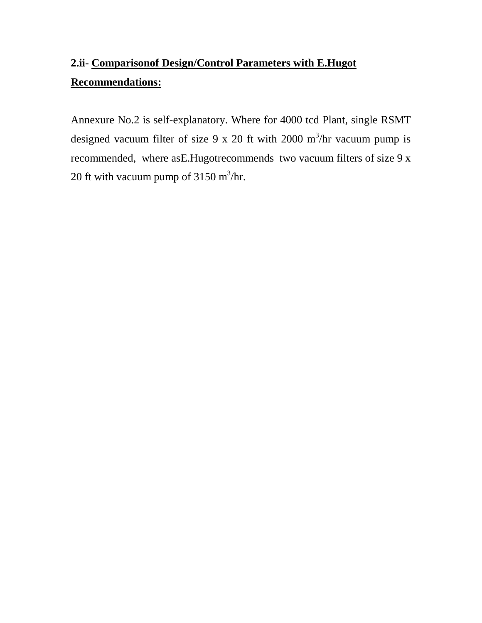# **2.ii- Comparisonof Design/Control Parameters with E.Hugot Recommendations:**

Annexure No.2 is self-explanatory. Where for 4000 tcd Plant, single RSMT designed vacuum filter of size 9 x 20 ft with 2000  $\text{m}^3/\text{hr}$  vacuum pump is recommended, where asE.Hugotrecommends two vacuum filters of size 9 x 20 ft with vacuum pump of  $3150 \text{ m}^3/\text{hr}$ .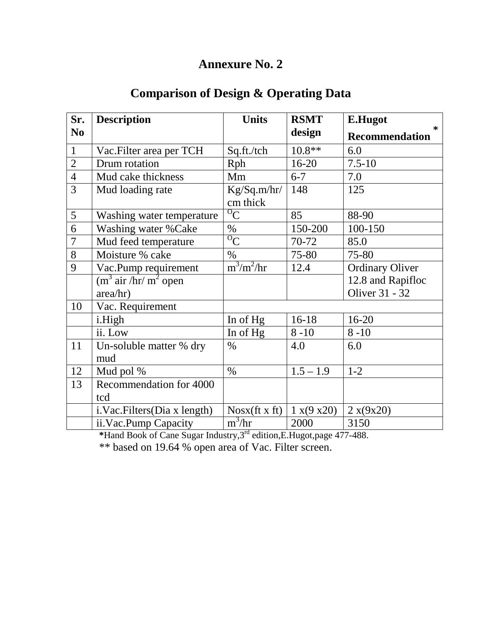## **Comparison of Design & Operating Data**

| Sr.            | <b>Description</b>                                              | <b>Units</b>            | <b>RSMT</b> | E.Hugot                |
|----------------|-----------------------------------------------------------------|-------------------------|-------------|------------------------|
| N <sub>0</sub> |                                                                 |                         | design      | ∗<br>Recommendation    |
| $\mathbf{1}$   | Vac. Filter area per TCH                                        | Sq.ft./tch              | $10.8**$    | 6.0                    |
| $\overline{2}$ | Drum rotation                                                   | Rph                     | $16 - 20$   | $7.5 - 10$             |
| $\overline{4}$ | Mud cake thickness                                              | Mm                      | $6 - 7$     | 7.0                    |
| 3              | Mud loading rate                                                | Kg/Sq.m/hr/<br>cm thick | 148         | 125                    |
| 5              | Washing water temperature                                       | ${}^{0}C$               | 85          | 88-90                  |
| 6              | Washing water % Cake                                            | $\%$                    | 150-200     | 100-150                |
| $\overline{7}$ | Mud feed temperature                                            | $\overline{C}$          | 70-72       | 85.0                   |
| 8              | Moisture % cake                                                 | $\%$                    | 75-80       | 75-80                  |
| 9              | Vac.Pump requirement                                            | $m^3/m^2/hr$            | 12.4        | <b>Ordinary Oliver</b> |
|                | $\overline{(\text{m}^3 \text{ air}/\text{hr}/\text{m}^2)}$ open |                         |             | 12.8 and Rapifloc      |
|                | area/hr)                                                        |                         |             | Oliver 31 - 32         |
| 10             | Vac. Requirement                                                |                         |             |                        |
|                | i.High                                                          | In of Hg                | $16-18$     | $16 - 20$              |
|                | ii. Low                                                         | In of Hg                | $8 - 10$    | $8 - 10$               |
| 11             | Un-soluble matter % dry                                         | $\%$                    | 4.0         | 6.0                    |
|                | mud                                                             |                         |             |                        |
| 12             | Mud pol %                                                       | $\%$                    | $1.5 - 1.9$ | $1 - 2$                |
| 13             | Recommendation for 4000                                         |                         |             |                        |
|                | tcd                                                             |                         |             |                        |
|                | i.Vac.Filters(Dia x length)                                     | Nosx (ft x ft)          | 1 x(9 x20)  | 2 x(9x20)              |
|                | ii.Vac.Pump Capacity                                            | $m^3/hr$                | 2000        | 3150                   |

**\***Hand Book of Cane Sugar Industry,3rd edition,E.Hugot,page 477-488.

\*\* based on 19.64 % open area of Vac. Filter screen.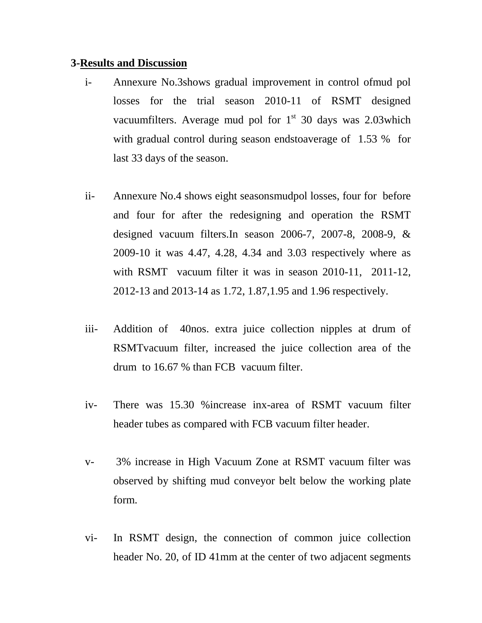#### **3- Results and Discussion**

- i- Annexure No.3shows gradual improvement in control ofmud pol losses for the trial season 2010-11 of RSMT designed vacuumfilters. Average mud pol for  $1<sup>st</sup>$  30 days was 2.03which with gradual control during season endstoaverage of 1.53 % for last 33 days of the season.
- ii- Annexure No.4 shows eight seasonsmudpol losses, four for before and four for after the redesigning and operation the RSMT designed vacuum filters.In season 2006-7, 2007-8, 2008-9, & 2009-10 it was 4.47, 4.28, 4.34 and 3.03 respectively where as with RSMT vacuum filter it was in season 2010-11, 2011-12, 2012-13 and 2013-14 as 1.72, 1.87,1.95 and 1.96 respectively.
- iii- Addition of 40nos. extra juice collection nipples at drum of RSMTvacuum filter, increased the juice collection area of the drum to 16.67 % than FCB vacuum filter.
- iv- There was 15.30 %increase inx-area of RSMT vacuum filter header tubes as compared with FCB vacuum filter header.
- v- 3% increase in High Vacuum Zone at RSMT vacuum filter was observed by shifting mud conveyor belt below the working plate form.
- vi- In RSMT design, the connection of common juice collection header No. 20, of ID 41mm at the center of two adjacent segments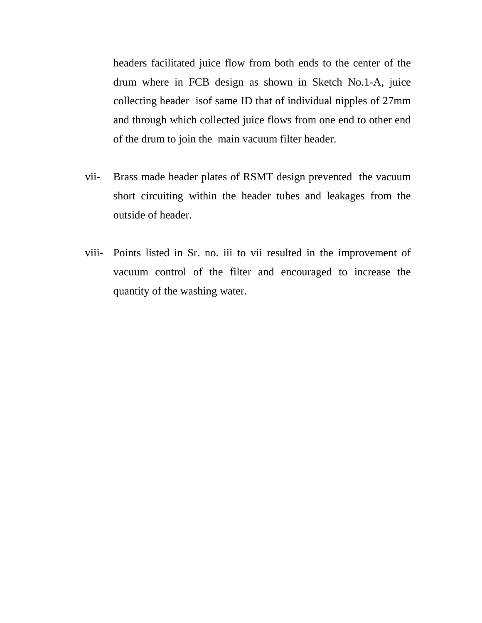headers facilitated juice flow from both ends to the center of the drum where in FCB design as shown in Sketch No.1-A, juice collecting header isof same ID that of individual nipples of 27mm and through which collected juice flows from one end to other end of the drum to join the main vacuum filter header.

- vii- Brass made header plates of RSMT design prevented the vacuum short circuiting within the header tubes and leakages from the outside of header.
- viii- Points listed in Sr. no. iii to vii resulted in the improvement of vacuum control of the filter and encouraged to increase the quantity of the washing water.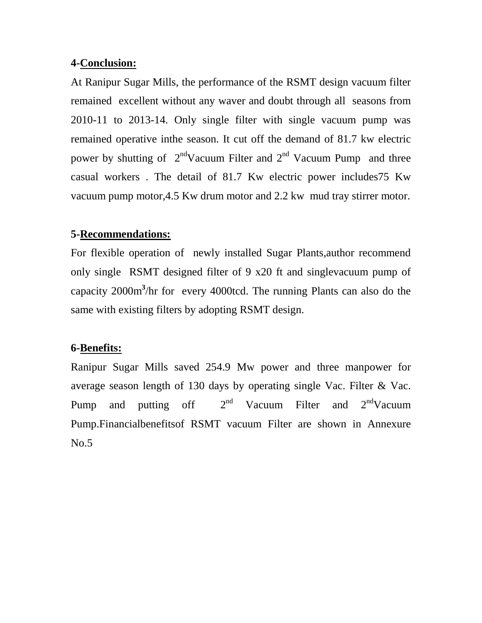### **4- Conclusion:**

At Ranipur Sugar Mills, the performance of the RSMT design vacuum filter remained excellent without any waver and doubt through all seasons from 2010-11 to 2013-14. Only single filter with single vacuum pump was remained operative inthe season. It cut off the demand of 81.7 kw electric power by shutting of  $2<sup>nd</sup>$ Vacuum Filter and  $2<sup>nd</sup>$  Vacuum Pump and three casual workers . The detail of 81.7 Kw electric power includes75 Kw vacuum pump motor,4.5 Kw drum motor and 2.2 kw mud tray stirrer motor.

### **5- Recommendations:**

For flexible operation of newly installed Sugar Plants,author recommend only single RSMT designed filter of 9 x20 ft and singlevacuum pump of capacity 2000m **3** /hr for every 4000tcd. The running Plants can also do the same with existing filters by adopting RSMT design.

### **6- Benefits:**

Ranipur Sugar Mills saved 254.9 Mw power and three manpower for average season length of 130 days by operating single Vac. Filter & Vac. Pump and putting off  $2^{nd}$ Vacuum Filter and  $2<sup>nd</sup>Varum$ Pump.Financialbenefitsof RSMT vacuum Filter are shown in Annexure No.5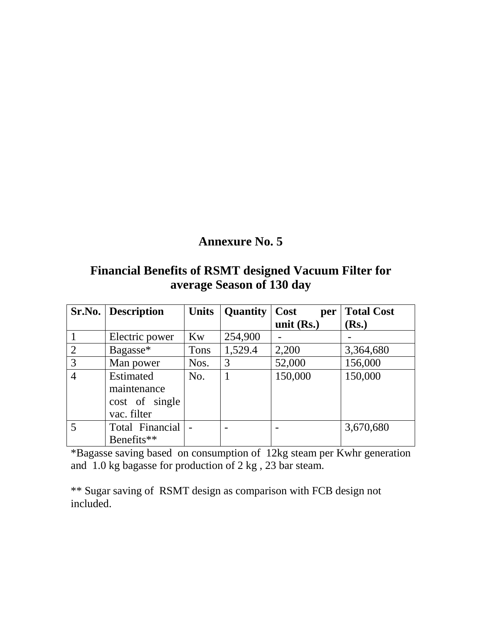## **Financial Benefits of RSMT designed Vacuum Filter for average Season of 130 day**

|                | <b>Sr.No.</b> Description                                        | <b>Units</b> | <b>Quantity</b> | Cost<br>per  | <b>Total Cost</b> |
|----------------|------------------------------------------------------------------|--------------|-----------------|--------------|-------------------|
|                |                                                                  |              |                 | unit $(Rs.)$ | Rs.)              |
|                | Electric power                                                   | Kw           | 254,900         |              |                   |
| $\overline{2}$ | Bagasse*                                                         | <b>Tons</b>  | 1,529.4         | 2,200        | 3,364,680         |
| 3              | Man power                                                        | Nos.         | 3               | 52,000       | 156,000           |
| $\overline{4}$ | <b>Estimated</b><br>maintenance<br>cost of single<br>vac. filter | No.          | 1               | 150,000      | 150,000           |
| 5              | Total Financial<br>Benefits**                                    |              |                 |              | 3,670,680         |

\*Bagasse saving based on consumption of 12kg steam per Kwhr generation and 1.0 kg bagasse for production of 2 kg , 23 bar steam.

\*\* Sugar saving of RSMT design as comparison with FCB design not included.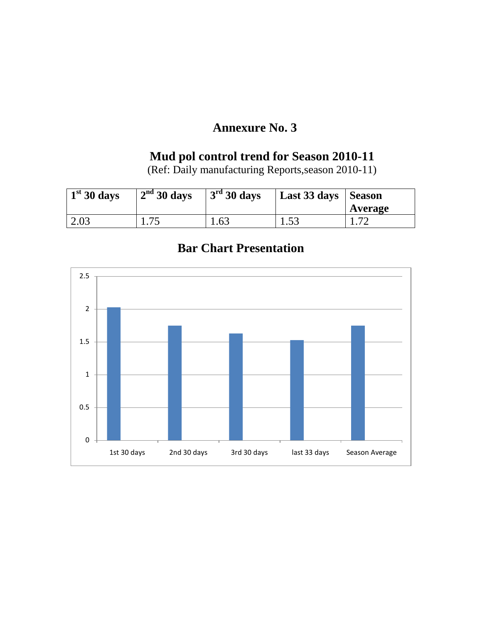## **Mud pol control trend for Season 2010-11**

(Ref: Daily manufacturing Reports,season 2010-11)

| $\frac{1}{30}$ days | 2 <sup>nd</sup> 30 days | 3 <sup>rd</sup> 30 days | Last 33 days   Season | Average |
|---------------------|-------------------------|-------------------------|-----------------------|---------|
| 2.03                |                         | 1.63                    | 1.53                  |         |



## **Bar Chart Presentation**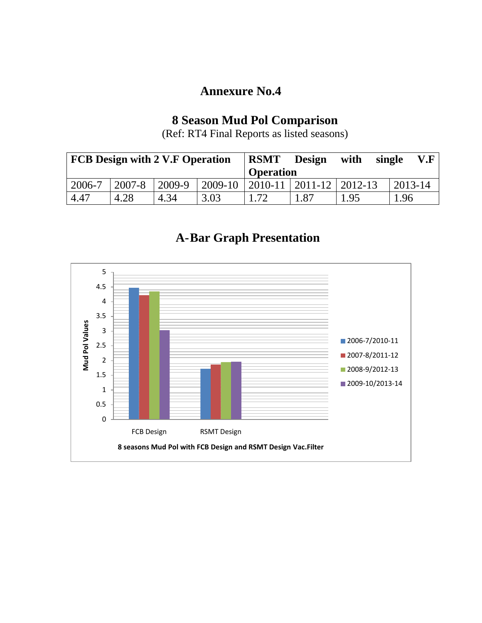## **8 Season Mud Pol Comparison**

(Ref: RT4 Final Reports as listed seasons)

| <b>FCB Design with 2 V.F Operation</b> |        |        |             | <b>RSMT</b>      | <b>Design</b>               | with  | single | V.F          |
|----------------------------------------|--------|--------|-------------|------------------|-----------------------------|-------|--------|--------------|
|                                        |        |        |             | <b>Operation</b> |                             |       |        |              |
| 2006-7                                 | 2007-8 | 2009-9 | $ 2009-10 $ |                  | 2010-11   2011-12   2012-13 |       |        | $12013 - 14$ |
| 4.47                                   | 4.28   | 4.34   | 3.03        | 1.72             | .87                         | . .95 |        | .96          |

## **A-Bar Graph Presentation**